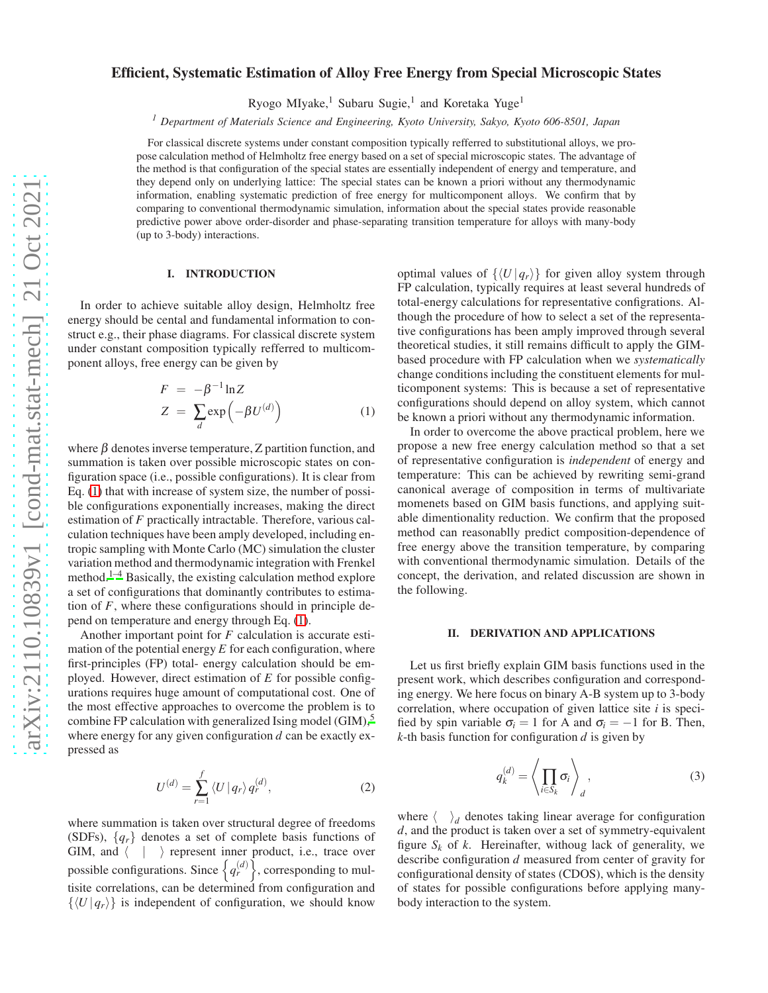# Efficient, Systematic Estimation of Alloy Free Energy from Special Microscopic States

Ryogo MIyake,<sup>1</sup> Subaru Sugie,<sup>1</sup> and Koretaka Yuge<sup>1</sup>

*<sup>1</sup> Department of Materials Science and Engineering, Kyoto University, Sakyo, Kyoto 606-8501, Japan*

For classical discrete systems under constant composition typically refferred to substitutional alloys, we propose calculation method of Helmholtz free energy based on a set of special microscopic states. The advantage of the method is that configuration of the special states are essentially independent of energy and temperature, and they depend only on underlying lattice: The special states can be known a priori without any thermodynamic information, enabling systematic prediction of free energy for multicomponent alloys. We confirm that by comparing to conventional thermodynamic simulation, information about the special states provide reasonable predictive power above order-disorder and phase-separating transition temperature for alloys with many-body (up to 3-body) interactions.

#### I. INTRODUCTION

In order to achieve suitable alloy design, Helmholtz free energy should be cental and fundamental information to construct e.g., their phase diagrams. For classical discrete system under constant composition typically refferred to multicomponent alloys, free energy can be given by

<span id="page-0-0"></span>
$$
F = -\beta^{-1} \ln Z
$$
  
\n
$$
Z = \sum_{d} \exp(-\beta U^{(d)})
$$
\n(1)

where  $\beta$  denotes inverse temperature, Z partition function, and summation is taken over possible microscopic states on configuration space (i.e., possible configurations). It is clear from Eq. [\(1\)](#page-0-0) that with increase of system size, the number of possible configurations exponentially increases, making the direct estimation of *F* practically intractable. Therefore, various calculation techniques have been amply developed, including entropic sampling with Monte Carlo (MC) simulation the cluster variation method and thermodynamic integration with Frenkel method.<sup>[1](#page-3-0)[–4](#page-3-1)</sup> Basically, the existing calculation method explore a set of configurations that dominantly contributes to estimation of *F*, where these configurations should in principle depend on temperature and energy through Eq. [\(1\)](#page-0-0).

Another important point for *F* calculation is accurate estimation of the potential energy  $E$  for each configuration, where first-principles (FP) total- energy calculation should be employed. However, direct estimation of *E* for possible configurations requires huge amount of computational cost. One of the most effective approaches to overcome the problem is to combine FP calculation with generalized Ising model (GIM), $5$ where energy for any given configuration *d* can be exactly expressed as

$$
U^{(d)} = \sum_{r=1}^{f} \langle U | q_r \rangle q_r^{(d)}, \qquad (2)
$$

where summation is taken over structural degree of freedoms (SDFs),  $\{q_r\}$  denotes a set of complete basis functions of GIM, and  $\langle \ | \ \rangle$  represent inner product, i.e., trace over possible configurations. Since  $\left\{ q_{r}^{(d)} \right\}$ , corresponding to multisite correlations, can be determined from configuration and  $\{\langle U | q_r \rangle\}$  is independent of configuration, we should know

optimal values of  $\{U | q_r\}$  for given alloy system through FP calculation, typically requires at least several hundreds of total-energy calculations for representative configrations. Although the procedure of how to select a set of the representative configurations has been amply improved through several theoretical studies, it still remains difficult to apply the GIMbased procedure with FP calculation when we *systematically* change conditions including the constituent elements for multicomponent systems: This is because a set of representative configurations should depend on alloy system, which cannot be known a priori without any thermodynamic information.

In order to overcome the above practical problem, here we propose a new free energy calculation method so that a set of representative configuration is *independent* of energy and temperature: This can be achieved by rewriting semi-grand canonical average of composition in terms of multivariate momenets based on GIM basis functions, and applying suitable dimentionality reduction. We confirm that the proposed method can reasonablly predict composition-dependence of free energy above the transition temperature, by comparing with conventional thermodynamic simulation. Details of the concept, the derivation, and related discussion are shown in the following.

### II. DERIVATION AND APPLICATIONS

Let us first briefly explain GIM basis functions used in the present work, which describes configuration and corresponding energy. We here focus on binary A-B system up to 3-body correlation, where occupation of given lattice site *i* is specified by spin variable  $\sigma_i = 1$  for A and  $\sigma_i = -1$  for B. Then, *k*-th basis function for configuration *d* is given by

$$
q_k^{(d)} = \left\langle \prod_{i \in S_k} \sigma_i \right\rangle_d, \tag{3}
$$

where  $\langle \rangle_d$  denotes taking linear average for configuration *d*, and the product is taken over a set of symmetry-equivalent figure  $S_k$  of  $k$ . Hereinafter, withoug lack of generality, we describe configuration *d* measured from center of gravity for configurational density of states (CDOS), which is the density of states for possible configurations before applying manybody interaction to the system.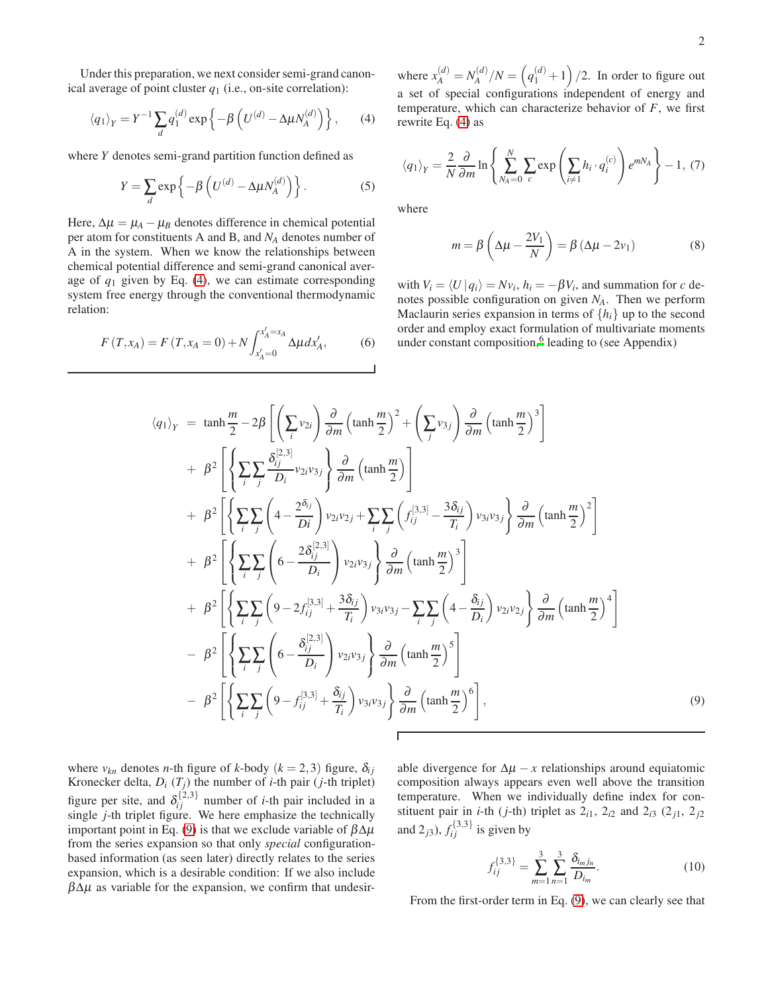Under this preparation, we next consider semi-grand canonical average of point cluster  $q_1$  (i.e., on-site correlation):

<span id="page-1-0"></span>
$$
\langle q_1 \rangle_Y = Y^{-1} \sum_d q_1^{(d)} \exp \left\{ -\beta \left( U^{(d)} - \Delta \mu N_A^{(d)} \right) \right\}, \qquad (4)
$$

where *Y* denotes semi-grand partition function defined as

$$
Y = \sum_{d} \exp\left\{-\beta \left(U^{(d)} - \Delta \mu N_A^{(d)}\right)\right\}.
$$
 (5)

Here,  $\Delta \mu = \mu_A - \mu_B$  denotes difference in chemical potential per atom for constituents A and B, and *N<sup>A</sup>* denotes number of A in the system. When we know the relationships between chemical potential difference and semi-grand canonical average of  $q_1$  given by Eq. [\(4\)](#page-1-0), we can estimate corresponding system free energy through the conventional thermodynamic relation:

$$
F(T, x_A) = F(T, x_A = 0) + N \int_{x'_A = 0}^{x'_A = x_A} \Delta \mu \, dx'_A,\tag{6}
$$

where  $x_A^{(d)} = N_A^{(d)}$  $\binom{d}{A}/N = \left(q_1^{(d)}+1\right)/2$ . In order to figure out a set of special configurations independent of energy and temperature, which can characterize behavior of *F*, we first rewrite Eq. [\(4\)](#page-1-0) as

$$
\langle q_1 \rangle_Y = \frac{2}{N} \frac{\partial}{\partial m} \ln \left\{ \sum_{N_A=0}^N \sum_c \exp \left( \sum_{i \neq 1} h_i \cdot q_i^{(c)} \right) e^{mN_A} \right\} - 1, (7)
$$

where

$$
m = \beta \left( \Delta \mu - \frac{2V_1}{N} \right) = \beta \left( \Delta \mu - 2v_1 \right) \tag{8}
$$

with  $V_i = \langle U | q_i \rangle = Nv_i$ ,  $h_i = -\beta V_i$ , and summation for *c* denotes possible configuration on given *NA*. Then we perform Maclaurin series expansion in terms of  $\{h_i\}$  up to the second order and employ exact formulation of multivariate moments under constant composition,<sup>[6](#page-3-3)</sup> leading to (see Appendix)

<span id="page-1-1"></span>
$$
\langle q_{1}\rangle_{Y} = \tanh\frac{m}{2} - 2\beta \left[ \left( \sum_{i} v_{2i} \right) \frac{\partial}{\partial m} \left( \tanh\frac{m}{2} \right)^{2} + \left( \sum_{j} v_{3j} \right) \frac{\partial}{\partial m} \left( \tanh\frac{m}{2} \right)^{3} \right] + \beta^{2} \left[ \left\{ \sum_{i} \sum_{j} \frac{\delta_{i}^{[2,3]}}{D_{i}} v_{2i} v_{3j} \right\} \frac{\partial}{\partial m} \left( \tanh\frac{m}{2} \right) \right] + \beta^{2} \left[ \left\{ \sum_{i} \sum_{j} \left( 4 - \frac{2\delta_{ij}}{Di} \right) v_{2i} v_{2j} + \sum_{i} \sum_{j} \left( f_{ij}^{[3,3]} - \frac{3\delta_{ij}}{T_{i}} \right) v_{3i} v_{3j} \right\} \frac{\partial}{\partial m} \left( \tanh\frac{m}{2} \right)^{2} \right] + \beta^{2} \left[ \left\{ \sum_{i} \sum_{j} \left( 6 - \frac{2\delta_{ij}^{[2,3]}}{D_{i}} \right) v_{2i} v_{3j} \right\} \frac{\partial}{\partial m} \left( \tanh\frac{m}{2} \right)^{3} \right] + \beta^{2} \left[ \left\{ \sum_{i} \sum_{j} \left( 9 - 2 f_{ij}^{[3,3]} + \frac{3\delta_{ij}}{T_{i}} \right) v_{3i} v_{3j} - \sum_{i} \sum_{j} \left( 4 - \frac{\delta_{ij}}{D_{i}} \right) v_{2i} v_{2j} \right\} \frac{\partial}{\partial m} \left( \tanh\frac{m}{2} \right)^{4} \right] - \beta^{2} \left[ \left\{ \sum_{i} \sum_{j} \left( 6 - \frac{\delta_{ij}^{[2,3]}}{D_{i}} \right) v_{2i} v_{3j} \right\} \frac{\partial}{\partial m} \left( \tanh\frac{m}{2} \right)^{5} \right] - \beta^{2} \left[ \left\{ \sum_{i} \sum_{j} \left( 9 - f_{ij}^{[3,3]} + \frac{\delta_{ij}}{T_{i}} \right) v_{3i} v_{
$$

where  $v_{kn}$  denotes *n*-th figure of *k*-body ( $k = 2,3$ ) figure,  $\delta_{ij}$ Kronecker delta,  $D_i$  ( $T_j$ ) the number of *i*-th pair (*j*-th triplet) figure per site, and  $\delta_{ij}^{\{2,3\}}$  number of *i*-th pair included in a single *j*-th triplet figure. We here emphasize the technically important point in Eq. [\(9\)](#page-1-1) is that we exclude variable of  $βΔμ$ from the series expansion so that only *special* configurationbased information (as seen later) directly relates to the series expansion, which is a desirable condition: If we also include  $\beta \Delta \mu$  as variable for the expansion, we confirm that undesirable divergence for  $\Delta \mu - x$  relationships around equiatomic composition always appears even well above the transition temperature. When we individually define index for constituent pair in *i*-th (*j*-th) triplet as  $2_{i1}$ ,  $2_{i2}$  and  $2_{i3}$  ( $2_{j1}$ ,  $2_{j2}$ and  $2_{j3}$ ),  $f_{ij}^{\{3,3\}}$  is given by

$$
f_{ij}^{\{3,3\}} = \sum_{m=1}^{3} \sum_{n=1}^{3} \frac{\delta_{i_m j_n}}{D_{i_m}}.
$$
 (10)

From the first-order term in Eq. [\(9\)](#page-1-1), we can clearly see that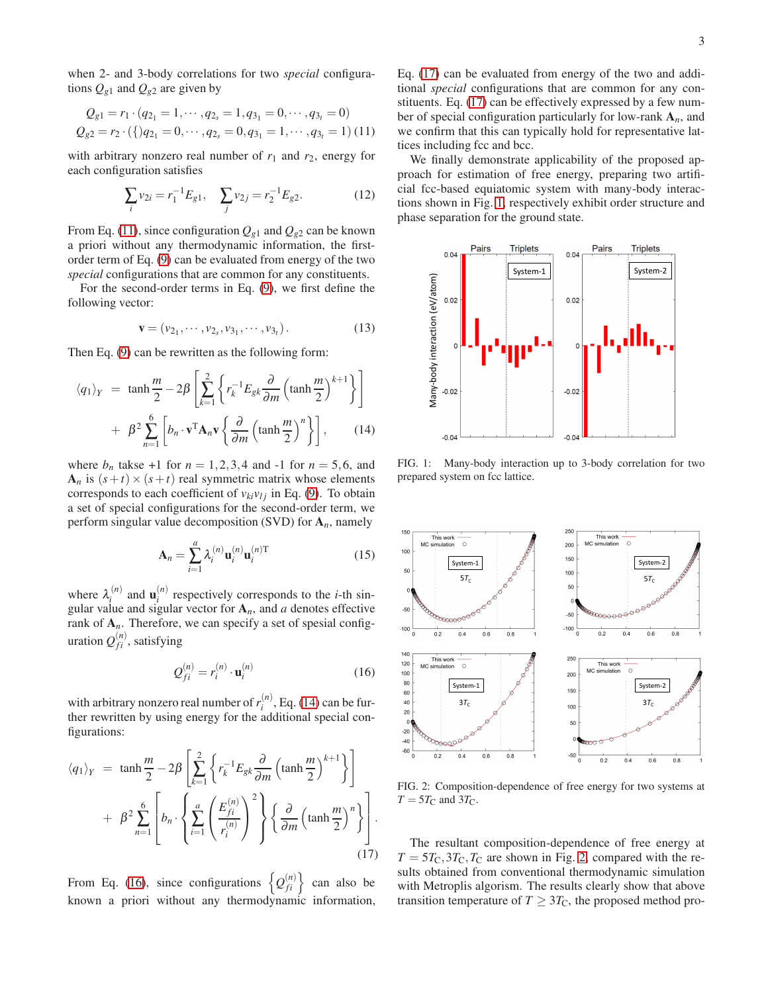when 2- and 3-body correlations for two *special* configurations  $Q_{g1}$  and  $Q_{g2}$  are given by

<span id="page-2-0"></span>
$$
Q_{g1} = r_1 \cdot (q_{2_1} = 1, \cdots, q_{2_s} = 1, q_{3_1} = 0, \cdots, q_{3_t} = 0)
$$
  

$$
Q_{g2} = r_2 \cdot (\{q_{2_1} = 0, \cdots, q_{2_s} = 0, q_{3_1} = 1, \cdots, q_{3_t} = 1) (11)
$$

with arbitrary nonzero real number of  $r_1$  and  $r_2$ , energy for each configuration satisfies

$$
\sum_{i} v_{2i} = r_1^{-1} E_{g1}, \quad \sum_{j} v_{2j} = r_2^{-1} E_{g2}.
$$
 (12)

From Eq. [\(11\)](#page-2-0), since configuration  $Q_{g1}$  and  $Q_{g2}$  can be known a priori without any thermodynamic information, the firstorder term of Eq. [\(9\)](#page-1-1) can be evaluated from energy of the two *special* configurations that are common for any constituents.

For the second-order terms in Eq. [\(9\)](#page-1-1), we first define the following vector:

$$
\mathbf{v} = (v_{2_1}, \cdots, v_{2_s}, v_{3_1}, \cdots, v_{3_t}).
$$
 (13)

Then Eq. [\(9\)](#page-1-1) can be rewritten as the following form:

<span id="page-2-1"></span>
$$
\langle q_1 \rangle_Y = \tanh\frac{m}{2} - 2\beta \left[ \sum_{k=1}^2 \left\{ r_k^{-1} E_{gk} \frac{\partial}{\partial m} \left( \tanh\frac{m}{2} \right)^{k+1} \right\} \right] + \beta^2 \sum_{n=1}^6 \left[ b_n \cdot \mathbf{v}^T \mathbf{A}_n \mathbf{v} \left\{ \frac{\partial}{\partial m} \left( \tanh\frac{m}{2} \right)^n \right\} \right], \qquad (14)
$$

where  $b_n$  takse +1 for  $n = 1,2,3,4$  and -1 for  $n = 5,6$ , and  $A_n$  is  $(s+t) \times (s+t)$  real symmetric matrix whose elements corresponds to each coefficient of  $v_{ki}v_{lj}$  in Eq. [\(9\)](#page-1-1). To obtain a set of special configurations for the second-order term, we perform singular value decomposition (SVD) for A*n*, namely

$$
\mathbf{A}_n = \sum_{i=1}^a \lambda_i^{(n)} \mathbf{u}_i^{(n)} \mathbf{u}_i^{(n)T}
$$
 (15)

where  $\lambda_i^{(n)}$  $\mathbf{u}_i^{(n)}$  and  $\mathbf{u}_i^{(n)}$  $i^{(n)}$  respectively corresponds to the *i*-th singular value and sigular vector for  $A_n$ , and *a* denotes effective rank of  $A_n$ . Therefore, we can specify a set of spesial configuration  $Q_{fi}^{(n)}$ , satisfying

<span id="page-2-2"></span>
$$
\mathcal{Q}_{fi}^{(n)} = r_i^{(n)} \cdot \mathbf{u}_i^{(n)} \tag{16}
$$

with arbitrary nonzero real number of  $r_i^{(n)}$  $i^{(n)}$ , Eq. [\(14\)](#page-2-1) can be further rewritten by using energy for the additional special configurations:

<span id="page-2-3"></span>
$$
\langle q_1 \rangle_Y = \tanh \frac{m}{2} - 2\beta \left[ \sum_{k=1}^2 \left\{ r_k^{-1} E_{gk} \frac{\partial}{\partial m} \left( \tanh \frac{m}{2} \right)^{k+1} \right\} \right] + \beta^2 \sum_{n=1}^6 \left[ b_n \cdot \left\{ \sum_{i=1}^a \left( \frac{E_{fi}^{(n)}}{r_i^{(n)}} \right)^2 \right\} \left\{ \frac{\partial}{\partial m} \left( \tanh \frac{m}{2} \right)^n \right\} \right].
$$
\n(17)

From Eq.  $(16)$ , since configurations  $\left\{ \mathcal{Q}_{fi}^{(n)}\right\}$ can also be known a priori without any thermodynamic information, Eq. [\(17\)](#page-2-3) can be evaluated from energy of the two and additional *special* configurations that are common for any constituents. Eq. [\(17\)](#page-2-3) can be effectively expressed by a few number of special configuration particularly for low-rank A*n*, and we confirm that this can typically hold for representative lattices including fcc and bcc.

We finally demonstrate applicability of the proposed approach for estimation of free energy, preparing two artificial fcc-based equiatomic system with many-body interactions shown in Fig. [1,](#page-2-4) respectively exhibit order structure and phase separation for the ground state.



<span id="page-2-4"></span>FIG. 1: Many-body interaction up to 3-body correlation for two prepared system on fcc lattice.



<span id="page-2-5"></span>FIG. 2: Composition-dependence of free energy for two systems at  $T = 5T_C$  and  $3T_C$ .

The resultant composition-dependence of free energy at  $T = 5T_{\text{C}}$ ,  $3T_{\text{C}}$ ,  $T_{\text{C}}$  are shown in Fig. [2,](#page-2-5) compared with the results obtained from conventional thermodynamic simulation with Metroplis algorism. The results clearly show that above transition temperature of  $T \geq 3T_{\rm C}$ , the proposed method pro